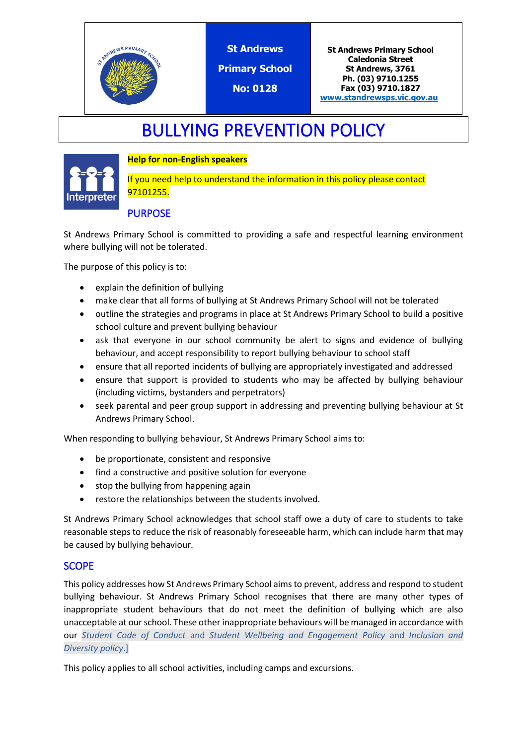

**St Andrews**

**Primary School**

**No: 0128**

**St Andrews Primary School Caledonia Street St Andrews, 3761 Ph. (03) 9710.1255 Fax (03) 9710.1827 [www.standrewsps.vic.gov.au](http://www.standrewsps.vic.gov.au/)**

# BULLYING PREVENTION POLICY

## **Help for non-English speakers**



If you need help to understand the information in this policy please contact 97101255.

# **PURPOSE**

St Andrews Primary School is committed to providing a safe and respectful learning environment where bullying will not be tolerated.

The purpose of this policy is to:

- explain the definition of bullying
- make clear that all forms of bullying at St Andrews Primary School will not be tolerated
- outline the strategies and programs in place at St Andrews Primary School to build a positive school culture and prevent bullying behaviour
- ask that everyone in our school community be alert to signs and evidence of bullying behaviour, and accept responsibility to report bullying behaviour to school staff
- ensure that all reported incidents of bullying are appropriately investigated and addressed
- ensure that support is provided to students who may be affected by bullying behaviour (including victims, bystanders and perpetrators)
- seek parental and peer group support in addressing and preventing bullying behaviour at St Andrews Primary School.

When responding to bullying behaviour, St Andrews Primary School aims to:

- be proportionate, consistent and responsive
- find a constructive and positive solution for everyone
- stop the bullying from happening again
- restore the relationships between the students involved.

St Andrews Primary School acknowledges that school staff owe a duty of care to students to take reasonable steps to reduce the risk of reasonably foreseeable harm, which can include harm that may be caused by bullying behaviour.

## **SCOPE**

This policy addresses how St Andrews Primary School aims to prevent, address and respond to student bullying behaviour. St Andrews Primary School recognises that there are many other types of inappropriate student behaviours that do not meet the definition of bullying which are also unacceptable at our school. These other inappropriate behaviours will be managed in accordance with our *Student Code of Conduct* and *Student Wellbeing and Engagement Policy* and *Inclusion and Diversity policy*.]

This policy applies to all school activities, including camps and excursions.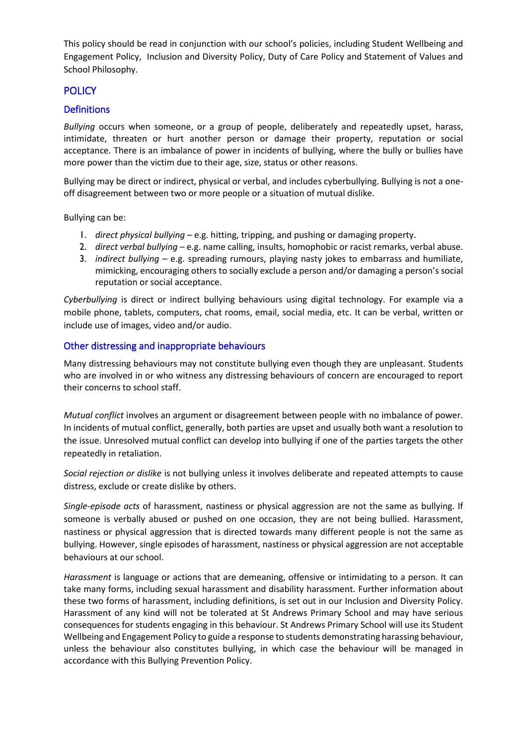This policy should be read in conjunction with our school's policies, including Student Wellbeing and Engagement Policy, Inclusion and Diversity Policy, Duty of Care Policy and Statement of Values and School Philosophy.

## **POLICY**

#### **Definitions**

*Bullying* occurs when someone, or a group of people, deliberately and repeatedly upset, harass, intimidate, threaten or hurt another person or damage their property, reputation or social acceptance. There is an imbalance of power in incidents of bullying, where the bully or bullies have more power than the victim due to their age, size, status or other reasons.

Bullying may be direct or indirect, physical or verbal, and includes cyberbullying. Bullying is not a oneoff disagreement between two or more people or a situation of mutual dislike.

Bullying can be:

- 1. *direct physical bullying* e.g. hitting, tripping, and pushing or damaging property.
- 2. *direct verbal bullying* e.g. name calling, insults, homophobic or racist remarks, verbal abuse.
- 3. *indirect bullying* e.g. spreading rumours, playing nasty jokes to embarrass and humiliate, mimicking, encouraging others to socially exclude a person and/or damaging a person's social reputation or social acceptance.

*Cyberbullying* is direct or indirect bullying behaviours using digital technology. For example via a mobile phone, tablets, computers, chat rooms, email, social media, etc. It can be verbal, written or include use of images, video and/or audio.

#### Other distressing and inappropriate behaviours

Many distressing behaviours may not constitute bullying even though they are unpleasant. Students who are involved in or who witness any distressing behaviours of concern are encouraged to report their concerns to school staff.

*Mutual conflict* involves an argument or disagreement between people with no imbalance of power. In incidents of mutual conflict, generally, both parties are upset and usually both want a resolution to the issue. Unresolved mutual conflict can develop into bullying if one of the parties targets the other repeatedly in retaliation.

*Social rejection or dislike* is not bullying unless it involves deliberate and repeated attempts to cause distress, exclude or create dislike by others.

*Single-episode acts* of harassment, nastiness or physical aggression are not the same as bullying. If someone is verbally abused or pushed on one occasion, they are not being bullied. Harassment, nastiness or physical aggression that is directed towards many different people is not the same as bullying. However, single episodes of harassment, nastiness or physical aggression are not acceptable behaviours at our school.

*Harassment* is language or actions that are demeaning, offensive or intimidating to a person. It can take many forms, including sexual harassment and disability harassment. Further information about these two forms of harassment, including definitions, is set out in our Inclusion and Diversity Policy. Harassment of any kind will not be tolerated at St Andrews Primary School and may have serious consequences for students engaging in this behaviour. St Andrews Primary School will use its Student Wellbeing and Engagement Policy to guide a response to students demonstrating harassing behaviour, unless the behaviour also constitutes bullying, in which case the behaviour will be managed in accordance with this Bullying Prevention Policy.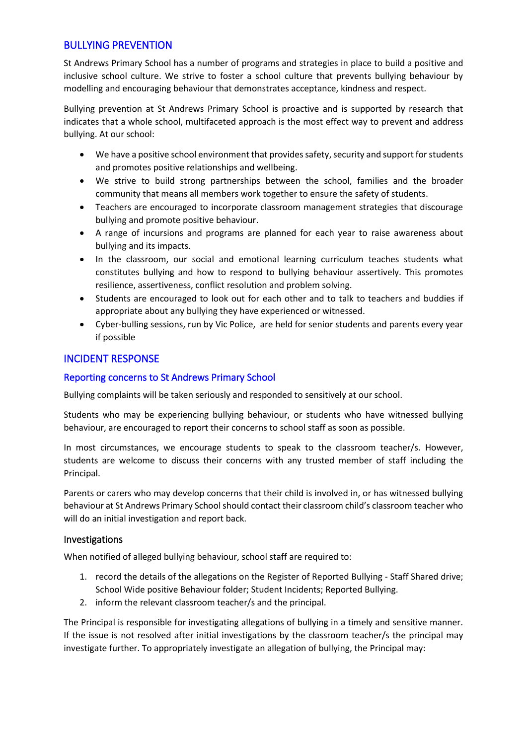## BULLYING PREVENTION

St Andrews Primary School has a number of programs and strategies in place to build a positive and inclusive school culture. We strive to foster a school culture that prevents bullying behaviour by modelling and encouraging behaviour that demonstrates acceptance, kindness and respect.

Bullying prevention at St Andrews Primary School is proactive and is supported by research that indicates that a whole school, multifaceted approach is the most effect way to prevent and address bullying. At our school:

- We have a positive school environment that provides safety, security and support for students and promotes positive relationships and wellbeing.
- We strive to build strong partnerships between the school, families and the broader community that means all members work together to ensure the safety of students.
- Teachers are encouraged to incorporate classroom management strategies that discourage bullying and promote positive behaviour.
- A range of incursions and programs are planned for each year to raise awareness about bullying and its impacts.
- In the classroom, our social and emotional learning curriculum teaches students what constitutes bullying and how to respond to bullying behaviour assertively. This promotes resilience, assertiveness, conflict resolution and problem solving.
- Students are encouraged to look out for each other and to talk to teachers and buddies if appropriate about any bullying they have experienced or witnessed.
- Cyber-bulling sessions, run by Vic Police, are held for senior students and parents every year if possible

## INCIDENT RESPONSE

#### Reporting concerns to St Andrews Primary School

Bullying complaints will be taken seriously and responded to sensitively at our school.

Students who may be experiencing bullying behaviour, or students who have witnessed bullying behaviour, are encouraged to report their concerns to school staff as soon as possible.

In most circumstances, we encourage students to speak to the classroom teacher/s. However, students are welcome to discuss their concerns with any trusted member of staff including the Principal.

Parents or carers who may develop concerns that their child is involved in, or has witnessed bullying behaviour at St Andrews Primary School should contact their classroom child's classroom teacher who will do an initial investigation and report back.

#### Investigations

When notified of alleged bullying behaviour, school staff are required to:

- 1. record the details of the allegations on the Register of Reported Bullying Staff Shared drive; School Wide positive Behaviour folder; Student Incidents; Reported Bullying.
- 2. inform the relevant classroom teacher/s and the principal.

The Principal is responsible for investigating allegations of bullying in a timely and sensitive manner. If the issue is not resolved after initial investigations by the classroom teacher/s the principal may investigate further. To appropriately investigate an allegation of bullying, the Principal may: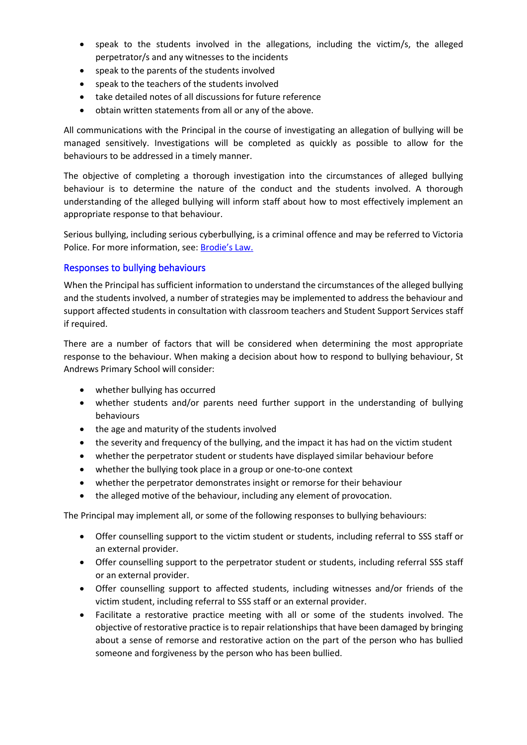- speak to the students involved in the allegations, including the victim/s, the alleged perpetrator/s and any witnesses to the incidents
- speak to the parents of the students involved
- speak to the teachers of the students involved
- take detailed notes of all discussions for future reference
- obtain written statements from all or any of the above.

All communications with the Principal in the course of investigating an allegation of bullying will be managed sensitively. Investigations will be completed as quickly as possible to allow for the behaviours to be addressed in a timely manner.

The objective of completing a thorough investigation into the circumstances of alleged bullying behaviour is to determine the nature of the conduct and the students involved. A thorough understanding of the alleged bullying will inform staff about how to most effectively implement an appropriate response to that behaviour.

Serious bullying, including serious cyberbullying, is a criminal offence and may be referred to Victoria Police. For more information, see: [Brodie's Law.](http://www.education.vic.gov.au/about/programs/bullystoppers/Pages/advicesheetbrodieslaw.aspx)

#### Responses to bullying behaviours

When the Principal has sufficient information to understand the circumstances of the alleged bullying and the students involved, a number of strategies may be implemented to address the behaviour and support affected students in consultation with classroom teachers and Student Support Services staff if required.

There are a number of factors that will be considered when determining the most appropriate response to the behaviour. When making a decision about how to respond to bullying behaviour, St Andrews Primary School will consider:

- whether bullying has occurred
- whether students and/or parents need further support in the understanding of bullying behaviours
- the age and maturity of the students involved
- the severity and frequency of the bullying, and the impact it has had on the victim student
- whether the perpetrator student or students have displayed similar behaviour before
- whether the bullying took place in a group or one-to-one context
- whether the perpetrator demonstrates insight or remorse for their behaviour
- the alleged motive of the behaviour, including any element of provocation.

The Principal may implement all, or some of the following responses to bullying behaviours:

- Offer counselling support to the victim student or students, including referral to SSS staff or an external provider.
- Offer counselling support to the perpetrator student or students, including referral SSS staff or an external provider.
- Offer counselling support to affected students, including witnesses and/or friends of the victim student, including referral to SSS staff or an external provider.
- Facilitate a restorative practice meeting with all or some of the students involved. The objective of restorative practice is to repair relationships that have been damaged by bringing about a sense of remorse and restorative action on the part of the person who has bullied someone and forgiveness by the person who has been bullied.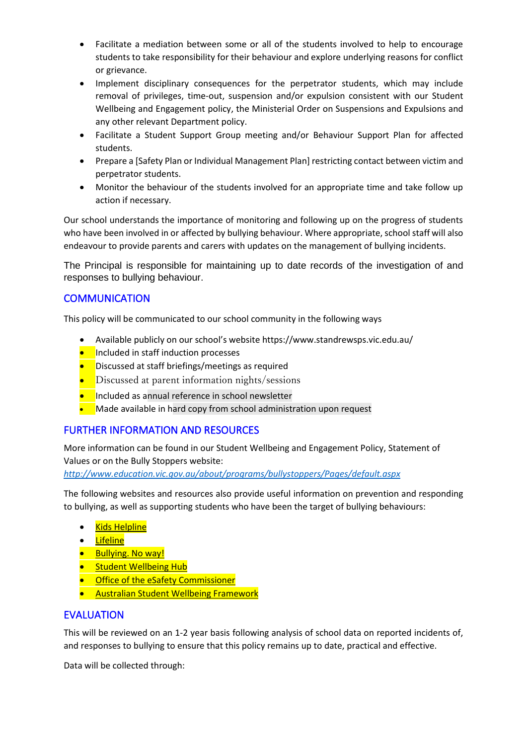- Facilitate a mediation between some or all of the students involved to help to encourage students to take responsibility for their behaviour and explore underlying reasons for conflict or grievance.
- Implement disciplinary consequences for the perpetrator students, which may include removal of privileges, time-out, suspension and/or expulsion consistent with our Student Wellbeing and Engagement policy, the Ministerial Order on Suspensions and Expulsions and any other relevant Department policy.
- Facilitate a Student Support Group meeting and/or Behaviour Support Plan for affected students.
- Prepare a [Safety Plan or Individual Management Plan] restricting contact between victim and perpetrator students.
- Monitor the behaviour of the students involved for an appropriate time and take follow up action if necessary.

Our school understands the importance of monitoring and following up on the progress of students who have been involved in or affected by bullying behaviour. Where appropriate, school staff will also endeavour to provide parents and carers with updates on the management of bullying incidents.

The Principal is responsible for maintaining up to date records of the investigation of and responses to bullying behaviour.

## **COMMUNICATION**

This policy will be communicated to our school community in the following ways

- Available publicly on our school's website https://www.standrewsps.vic.edu.au/
- **•** Included in staff induction processes
- Discussed at staff briefings/meetings as required
- Discussed at parent information nights/sessions
- **•** Included as annual reference in school newsletter
- Made available in hard copy from school administration upon request

## FURTHER INFORMATION AND RESOURCES

More information can be found in our Student Wellbeing and Engagement Policy, Statement of Values or on the Bully Stoppers website:

*<http://www.education.vic.gov.au/about/programs/bullystoppers/Pages/default.aspx>*

The following websites and resources also provide useful information on prevention and responding to bullying, as well as supporting students who have been the target of bullying behaviours:

- [Kids Helpline](https://kidshelpline.com.au/)
- [Lifeline](https://www.lifeline.org.au/)
- [Bullying. No way!](https://bullyingnoway.gov.au/)
- [Student Wellbeing Hub](https://www.studentwellbeinghub.edu.au/)
- Office of the eSafety Commissioner
- [Australian Student Wellbeing Framework](https://studentwellbeinghub.edu.au/educators/resources/australian-student-wellbeing-framework/)

## EVALUATION

This will be reviewed on an 1-2 year basis following analysis of school data on reported incidents of, and responses to bullying to ensure that this policy remains up to date, practical and effective.

Data will be collected through: